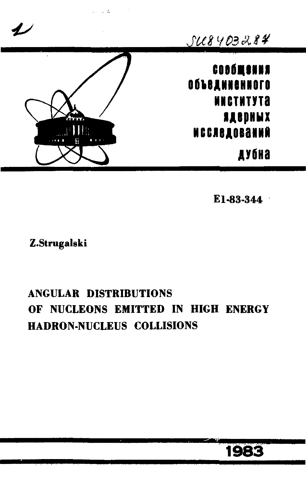

E1-83-344

Z.Strugalski

# **ANGULAR DISTRIBUTIONS** OF NUCLEONS EMITTED IN HIGH ENERGY **HADRON-NUCLEUS COLLISIONS**

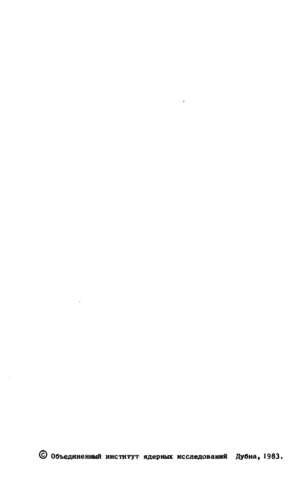

 $\mathcal{L}^{\text{max}}$ 

÷.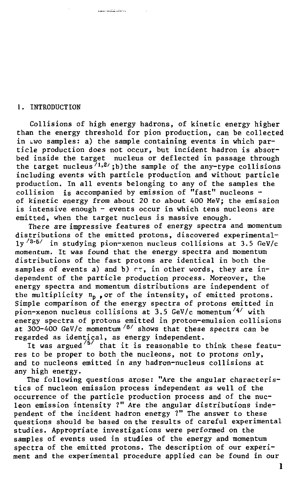#### 1. INTRODUCTION

Collisions of high energy hadrons, of kinetic energy higher than the energy threshold for pion production, can be collected in two samples: a) the sample containing events in which particle production does not occur, but incident hadron is absorbed inside the target nucleus or deflected in passage through the target nucleus<sup>71,2</sup>/;b) the sample of the any-type collisions including events with particle production and without particle production. In all events belonging to any of the samples the collision is accompanied by emission of "fast" nucleons of kinetic energy from about 20 to about 400 MeV; the emission is intensive enough - events occur in which tens nucleons are emitted, when the target nucleus is massive enough.

.<br>เมษายนเมื่อมีอุปกรณ์

There are impressive features of energy spectra and momentum distributions of the emitted protons, discovered experimental- $1y$ <sup>/3- $5/$ </sup> in studying pion-xenon nucleus collisions at 3.5 GeV/c momentum. It was found that the energy spectra and momentum distributions of the fast protons are identical in both the samples of events a) and b)  $cr$ , in other words, they are independent of the particle production process. Moreover, the energy spectra and momentum distributions are independent of the multiplicity  $n_p$ , or of the intensity, of emitted protons. Simple comparison of the energy spectra of protons emitted in pion-xenon nucleus collisions at 3.5 GeV/c momentum<sup>/4/</sup> with energy spectra of protons emitted in proton-emulsion collisions at  $300-400$  GeV/c momentum  $\frac{8}{3}$  shows that these spectra can be regarded as identical, as energy independent.

It was argued  $\frac{75}{7}$  that it is reasonable to think these features to be proper to both the nucleons, not to protons only, and to nucleons emitted in any hadron-nucleus collisions at any high energy.

The following questions arose: "Are the angular characteristics of nucleon emission process independent as well of the occurrence of the particle production process and of the nucleon emission intensity ?" Are the angular distributions independent of the incident hadron energy ?" The answer to these questions should be based on the results of careful experimental studies. Appropriate investigations were performed on the samples of events used in studies of the energy and momentum spectra of the emitted protons. The description of our experiment and the experimental procedure applied can be found in our

1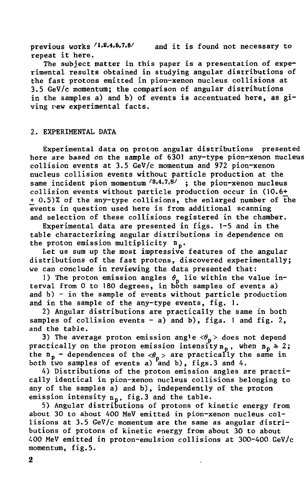previous works /1.2.4.5.7.8/ and it is found not necessary to repeat it here.

The subject matter in this paper is a presentation of experimental results obtained in studying angular distributions of the fast protons emitted in pion-xenon nucleus collisions at 3.5 GeV/c momentum; the comparison of angular distributions in the samples a) and b) of events is accentuated here, as giving rew experimental facts.

#### 2. EXPERIMENTAL DATA

Experimental data on proton angular distributions presented here are based on the sample of 6301 any-type pion-xenon nucleus collision events at 3.5 GeV/c momentum and 972 pion-xenon nucleus collision events without particle production at the same incident pion momentum <sup>73,4,7,87</sup> ; the pion-xenon nucleus collision events without particle production occur in (10.6+^  $+ 0.5$ )% of the any-type collisions, the enlarged number of the events in question used here is from additional scanning and selection of these collisions registered in the chamber.

Experimental data are presented in figs. 1-5 and in the table characterizing angular distributions in dependence on the proton emission multiplicity  $n_n$ .

Let us sum up the most impressive features of the angular distributions of the fast protons, discovered experimentally; we can conclude in reviewing the data presented that:

1) The proton emission angles θ<sub>ρ</sub> lie within the value interval from 0 to 180 degrees, in both samples of events a) and  $b$ ) - in the sample of events without particle production and in the sample of the any-type events, fig. 1.

2) Angular distributions are practically the same in both samples of collision events  $-$  a) and b), figs. 1 and fig. 2, and the table.

3) The average proton emission angle  $\langle \theta_n \rangle$  does not depend practically on the proton emission intensity  $n_n$ , when  $n_n \geq 2$ ; the  $n_p$  - dependences of the  $\langle \theta_p \rangle$  are practically the same in both two samples of events a) and b), figs.3 and 4.

4) Distributions of the proton emission angles are practically identical in pion-xenon nucleus collisions belonging to any of the samples a) and b) , independently of the proton emission intensity  $n_n$ , fig. 3 and the table.

5) Angular distributions of protons of kinetic energy from about 30 to about 400 MeV emitted in pion-xenon nucleus collisions at 3.5 GeV/c momentum are the same as angular distributions of protons of kinetic energy from about 30 to about 400 MeV emitted in proton-emulsion collisions at 300-400 GeV/c momentum, fig.5.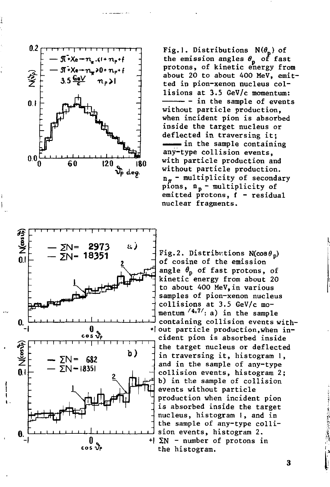

Fig.1. Distributions  $N(\theta_n)$  of the emission angles *в* of fast protons, of kinetic energy from about 20 to about 400 MeV, emitted in pion-xenon nucleus collisions at 3.5 GeV/c momentum: - in the sample of events without particle production, when incident pion is absorbed inside the target nucleus or deflected in traversing it;  $\equiv$  in the sample containing any-type collision events, with particle production and without particle production.  $n_{\pi}$  - multiplicity of secondary pions,  $n_p$  - multiplicity of  $emitted$  protons,  $f - residual$ nuclear fragments.



Fig.2. Distributions  $N(\cos\theta_n)$ of cosine of the emission angle  $\theta_n$  of fast protons, of kinetic energy from about 20 to about 400 MeV,in various samples of pion-xenon nucleus collisions at 3.5 GeV/c momentum '<sup>4,7'</sup>: a) in the sample containing collision events with- •I out particle production,when incident pion is absorbed inside the target nucleus or deflected in traversing it, histogram 1, and in the sample of any-type collision events, histogram 2; b) in the sample of collision events without particle production when incident pion is absorbed inside the target nucleus, histogram I, and in the sample of any-type collision events, histogram 2.  $+$ |  $\Sigma$ N - number of protons in the histogram.

3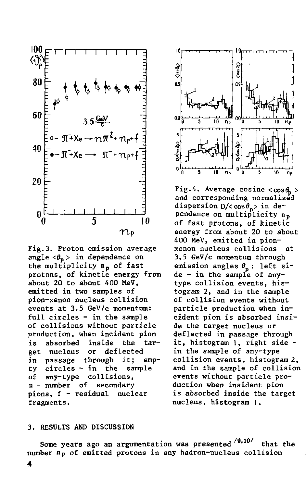

Fig.3. Proton emission average angle  $\langle \theta_p \rangle$  in dependence on the multiplicity n<sub>p</sub> of fast protons, of kinetic energy from about 20 to about 400 MeV, emitted in two samples of pion-xenon nucleus collision events at  $3.5$  GeV/c momentum: full circles - in the sample of collisions without particle production, when incident pion inside is absorbed the tardeflected nucleus  $or$ get through it: in passage empty circles - in the sample any-type collisions, of n - number of secondary pions, f - residual nuclear fragments.



Fig.4. Average cosine  $<$ cos $\theta_n$  > and corresponding normalized dispersion  $D/ $cos\theta_p>$  in de$ pendence on multiplicity np of fast protons, of kinetic energy from about 20 to about 400 MeV, emitted in pionxenon nucleus collisions at 3.5 GeV/c momentum through emission angles  $\theta_n$ : left side - in the sample of anytype collision events, histogram 2, and in the sample of collision events without particle production when incident pion is absorbed inside the target nucleus or deflected in passage through it, histogram 1, right side in the sample of any-type collision events, histogram 2, and in the sample of collision events without particle production when insident pion is absorbed inside the target nucleus, histogram 1.

#### 3. RESULTS AND DISCUSSION

Some years ago an argumentation was presented <sup>/9.10/</sup> that the number n<sub>p</sub> of emitted protons in any hadron-nucleus collision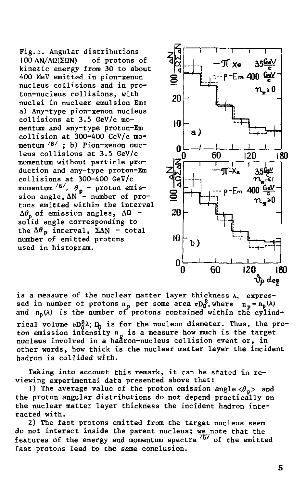Fig.5. Angular distributions 100  $\Delta N / \Delta \Omega$ ( $\Sigma \Omega N$ ) of protons of kinetic energy from 30 to about 400 MeV emitted in pion-xenon nucleus collisions and in proton-nucleus collisions, with nuclei in nuclear emulsion Em: a) Any-type pion-xenon nucleus collisions at 3.5 GeV/c momentum and any-type proton-Em collision at 300-400 GeV/c momentum <sup>/6/</sup> ; b) Pion-xenon nuc<sup>.</sup> leus collisions at 3.5 GeV/c momentum without particle production and any-type proton-Em collisions at 300-400 GeV/c momentum  $\frac{8}{1}$ .  $\theta_n$  - proton emission angle,  $\Delta N$  - number of protons emitted within the interval  $\Delta\theta_{\rm n}$  of emission angles,  $\Delta\Omega$  solid angle corresponding to the  $\Delta\theta_p$  interval,  $\Sigma\Delta N$  - total number of emitted protons used in histogram.



is a measure of the nuclear matter layer thickness  $\lambda$ , expressed in number of protons  $n_p$  per some area  $nD_0^2$ , where  $n_p = n_p(\lambda)$ and  $n_p(\lambda)$  is the number of protons contained within the cylindrical volume  $nD_0^2\lambda$ ;  $D_0$  is for the nucleon diameter. Thus, the proton emission intensity **n** is a measure how much is the target nucleus involved in a haåron-nucleus collision event or, in other words, how thick is the nuclear matter layer the incident hadron is collided with.

Taking into account this remark, it can be stated in reviewing experimental data presented above that:

1) The average value of the proton emission angle  $\langle \theta_n \rangle$  and the proton angular distributions do not depend practically on the nuclear matter layer thickness the incident hadron interacted with.

2) The fast protons emitted from the target nucleus seem do not interact inside the parent nucleus; we\_note that the features of the energy and momentum spectra  $^\prime$   $^\mathrm{57}$  of the emitted fast protons lead to the same conclusion.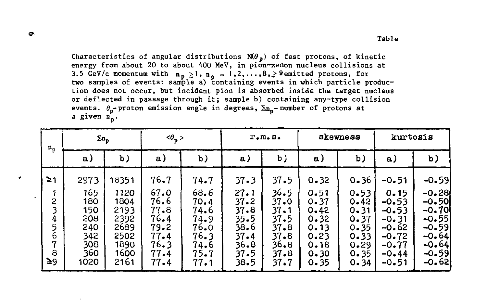Characteristics of angular distributions  $N(\theta_p)$  of fast protons, of kinetic energy from about 20 to about 400 MeV, in pion-xenon nucleus collisions at 3.5 GeV/c momentum with  $n_n \ge 1$ ,  $n_n = 1, 2, \ldots, 8, \ge 9$  emitted protons, for two samples of events: sample a) containing events in which particle production does not occur, but incident pion is absorbed inside the target nucleus or deflected in passage through it; sample b) containing any-type collision events.  $\theta_n$ -proton emission angle in degrees,  $\Sigma_{n_n}$ - number of protons at a given  $n_n$ .

| $n_p$                                      | $\Sigma_{n_0}$                                               |                                                                      | $\langle \theta_p \rangle$                                           |                                                                      | $r$ . $m$ . $s$ .                                                    |                                                                              | skewness                                                                 |                                                                      | kurtosis                                                                                     |                                                                                               |
|--------------------------------------------|--------------------------------------------------------------|----------------------------------------------------------------------|----------------------------------------------------------------------|----------------------------------------------------------------------|----------------------------------------------------------------------|------------------------------------------------------------------------------|--------------------------------------------------------------------------|----------------------------------------------------------------------|----------------------------------------------------------------------------------------------|-----------------------------------------------------------------------------------------------|
|                                            | a)                                                           | $\mathbf b$ )                                                        | a)                                                                   | b)                                                                   | a)                                                                   | b)                                                                           | a)                                                                       | b)                                                                   | a)                                                                                           | b)                                                                                            |
| $\geq 1$                                   | 2973                                                         | 18351                                                                | 76.7                                                                 | 74.7                                                                 | $37 - 3$                                                             | 37.5                                                                         | 0.32                                                                     | 0.36                                                                 | $-0.51$                                                                                      | $-0.59$                                                                                       |
| 1<br>2<br>3<br>4<br>5<br>6<br>7<br>8<br>≥৭ | 165<br>180<br>150<br>208<br>240<br>342<br>308<br>360<br>1020 | 1120<br>1804<br>2193<br>2392<br>2689<br>2502<br>1890<br>1600<br>2161 | 67.0<br>76.6<br>77.8<br>76.4<br>79.2<br>77.4<br>76.3<br>77.4<br>77.4 | 68.6<br>70.4<br>74.6<br>74.9<br>76.0<br>76.3<br>74.6<br>75.7<br>77.1 | 27.1<br>37.2<br>37.8<br>35.5<br>38.6<br>37.4<br>36.8<br>37.5<br>38.5 | 36.5<br>37.0<br>$37 - 1$<br>37.5<br>37.8<br>37.8<br>36.8<br>37.8<br>$37 - 7$ | 0.51<br>$0 - 37$<br>0.42<br>0.32<br>0.13<br>0.23<br>0.18<br>0.30<br>0.35 | 0.53<br>0.42<br>0.31<br>0.37<br>0.35<br>0.33<br>0.29<br>0.35<br>0.34 | 0.15<br>$-0.53$<br>$-0.53$<br>$-0.31$<br>$-0.62$<br>$-0.72$<br>$-0.77$<br>$-0.44$<br>$-0.51$ | $-0.28$<br>$-0.50$<br>-0.70<br>$-0.55$<br>$-0.59$<br>$-0.64$<br>$-0.64$<br>$-0.59$<br>$-0.62$ |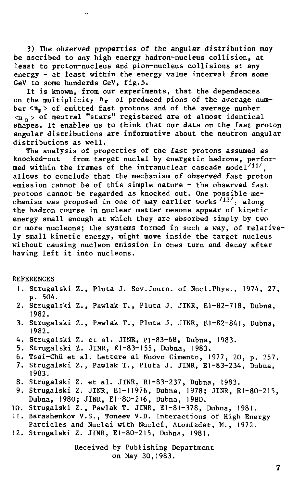3) The observed properties of the angular distribution may be ascribed to any high energy hadron-nucleus collision, at least to proton-nucleus and pion-nucleus collisions at any energy - at least within the energy value interval from some GeV to some hunderds GeV, fig.5.

It is known, from our experiments, that the dependences on the multiplicity  $n_{\pi}$  of produced pions of the average number  $\langle n_p \rangle$  of emitted fast protons and of the average number  $\langle n_n \rangle$  of neutral "stars" registered are of almost identical shapes. It enables us to think that our data on the fast proton angular distributions are informative about the neutron angular distributions as well.

The analysis of properties of the fast protons assumed as knocked-out from target nuclei by energetic hadrons, performed within the frames of the intranuclear cascade model $'{}^{11\prime}$ , allows to conclude that the mechanism of observed fast proton emission cannot be of this simple nature - the observed fast protons cannot be regarded as knocked out. One possible mechanism was proposed in one of may earlier works  $^{/12/}$ : along the hadron course in nuclear matter mesons appear of kinetic energy small enough at which they are absorbed simply by two or more nucleons; the systems formed in such a way, of relatively small kinetic energy, might move inside the target nucleus without causing nucleon emission in ones turn and decay after having left it into nucleons.

#### REFERENCES

- 1. Strugalski Z., Pluta J. Sov.Journ. of Nucl.Phys., 197A, 27, p. 504.
- 2. Strugalski Z., Pawlak Т., Pluta J. JINR, El-82-718, Dubna, 1982.
- 3. Strugalski Z., Pawlak T., Pluta J. JINR, El-82-841, Dubna, 1982.
- 4. Strugalski Z. et al. JINR, Pl-83-68, Dubna, 1983.
- 5. Strugalski Z. JINR, El-83-155, Dubna, 1983.
- 6. Tsai-Chii et al. Lettere al Nuovo Cimento, 1977, 20, p. 257.
- 7. Strugalski Z., Pawlak Т., Pluta J. JINR, El-83-234, Dubna, 1983.
- 8. Strugalski Z. et al. JINR, Rl-83-237, Dubna, 1983.
- 9. Strugalski Z. JINR, El-11976, Dubna, 1978; JINR, El-80-215, Dubna, 1980; JINR, El-80-216, Dubna, 1980.
- 10. Strugalski Z., Pawlak T. JINR, El-81-378, Dubna, 1981.
- 11. Barashenkov V.S., Toneev V.D. Interactions of High Energy Particles and Nuclei with Nuclei, Atomizdat, M., 1972.
- 12. Strugalski Z. JINR, El-80-215, Dubna, 1981.

Received by Publishing Department on May 30,1983.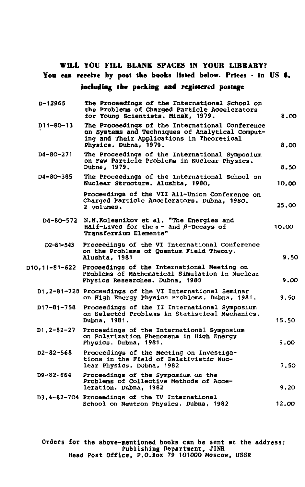### WILL YOU FILL BLANK SPACES IN YOUR LIBRARY?

## **Yon** can **receive by post the books listed below. Prices -** in **US** *t,*  **including the packing** and **registered postage**

| D-12965           | The Proceedings of the International School on<br>the Problems of Charged Particle Accelerators<br>for Young Scientists. Minsk. 1979.                                    | 8.00  |
|-------------------|--------------------------------------------------------------------------------------------------------------------------------------------------------------------------|-------|
| D11-80-13         | The Proceedings of the International Conference<br>on Systems and Techniques of Analytical Comput-<br>ing and Their Applications in Theoretical<br>Physics, Dubna, 1979. | 8.00  |
| D4-80-271         | The Proceedings of the International Symposium<br>on Few Particle Problems in Nuclear Physics.<br>Dubne, 1979.                                                           | 8.50  |
| D4-80-385         | The Proceedings of the International School on<br>Nuclear Structure, Alushta, 1980.                                                                                      | 10.00 |
|                   | Proceedings of the VII All-Union Conference on<br>Charged Particle Accelerators. Dubna. 1980.<br>2 volumes.                                                              | 25.00 |
| D4-80-572         | N.N. Kolesnikov et al. "The Energies and<br>Half-Lives for the $a -$ and $\beta$ -Decays of<br>Transfermium Elements"                                                    | 10.00 |
| 12-81-543         | Proceedings of the VI International Conference<br>on the Problems of Quantum Field Theory.<br>Alushta, 1981                                                              | 9.50  |
|                   | p10,11-81-622 Proceedings of the International Meeting on<br>Problems of Mathematical Simulation in Nuclear<br>Physics Researches. Dubna, 1980                           | 9.00  |
|                   | D1,2-81-728 Proceedings of the VI International Seminar<br>on High Energy Physics Problems. Dubna, 1981.                                                                 | 9.50  |
| D17-81-758        | Proceedings of the II International Symposium<br>on Selected Problems in Statistical Mechanics.<br>Dubna, 1981.                                                          | 15.50 |
| $D1, 2 - B2 - 27$ | Proceedings of the International Symposium<br>on Polarization Phenomena in High Energy<br>Physics. Dubna, 1981.                                                          | 9.00  |
| D2-82-568         | Proceedings of the Meeting on Investiga-<br>tions in the Field of Relativistic Nuc-<br>lear Physics. Dubna, 1982                                                         | 7.50  |
| $D9 - 82 - 664$   | Proceedings of the Symposium on the<br>Problems of Collective Methods of Acce-<br>leration. Dubna, 1982                                                                  | 9.20  |
|                   | D3,4-82-704 Proceedings of the IV International<br>School on Neutron Physics. Dubna, 1982                                                                                | 12.00 |

Orders for the above-mentioned books can be sent at the address:<br>Publishing Department, JINR<br>Head Post Office, P.O.Box 79 101000 Moscow, USSR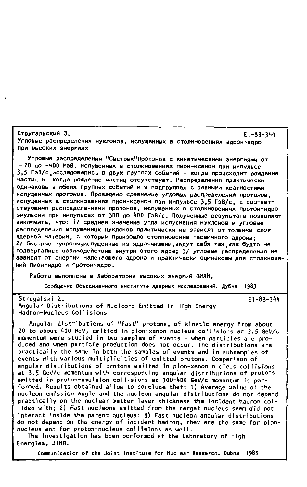Стругальский З. E1-83-344 Угловые распределения нуклонов, испущенных в столкновениях адрон-ядро ПРИ ВЫСОКИХ ЭНЕРГИЯХ

Угловые распределения "быстрых"протонов с кинетическими энергиями от -20 до -400 МэВ, испущенных в столкновениях пион-ксенон при импульсе 3,5 ГэВ/с исследовались в двух группах событий - когда происходит рождение частиц и когда рождение частиц отсутствует. Распределения практически одинаковы в обеих группах событий и в подгруппах с разными кратностями испущенных протонов. Проведено сравнение угловых распределений протонов. испущенных в столкновениях пион-ксенон при импульсе 3,5 ГэВ/с, с соответствующими распределениями протонов, испущенных в столкновениях протон-ядро эмульсии при импульсах от 300 до 400 ГэВ/с. Полученные результаты позволяют заключить, что: 1/ среднее значение угла испускания нуклонов и угловые распределения испущенных нуклонов практически не зависят от толщины слоя ядерной материи, с которым произошло столкновение первичного адрона: 2/ быстрые нуклоны, испущенные из ядра-мишени, ведут себя так, как будто не подвергались взаимодействию внутри этого ядра; 3/ угловые распределения не ЗАВИСЯТ ОТ ЭНЕРГИИ НАЛЕТАЮЩЕГО АДРОНА И ПРАКТИЧЕСКИ ОДИНАКОВЫ ДЛЯ СТОЛКНОВЕ-НИЙ ПИОН-ЯДДО И ПДОТОН-ЯДДО.

Работа выполнена в Лаборатории высоких энергий ОИЯИ.

Сообщение Объединенного института ядерных исследований. Дубна 1983

 $E1 - 83 - 344$ 

Strugalski Z. Angular Distributions of Nucleons Emitted in High Energy Hadron-Nucleus Collisions

Angular distributions of "fast" protons, of kinetic energy from about 20 to about 400 MeV, emitted in pion-xenon nucleus collisions at 3.5 GeV/c momentum were studied in two samples of events - when particles are produced and when particle production does not occur. The distributions are practically the same in both the samples of events and in subsamples of events with various multiplicities of emitted protons. Comparison of angular distributions of protons emitted in pion-xenon nucleus collisions at 3.5 GeV/c momentum with corresponding angular distributions of protons emitted in proton-emulsion collisions at 300-400 GeV/c momentum is performed. Results obtained allow to conclude that: 1) Average value of the nucleon emission angle and the nucleon angular distributions do not depend practically on the nuclear matter layer thickness the incident hadron collided with; 2) Fast nucleons emitted from the target nucleus seem did not interact inside the parent nucleus: 3) Fast nucleon angular distributions do not depend on the energy of incident hadron, they are the same for pionnucleus and for proton-nucleus collisions as well.

The investigation has been performed at the Laboratory of High Energies, JINR.

Communication of the Joint Institute for Nuclear Research, Dubna 1983